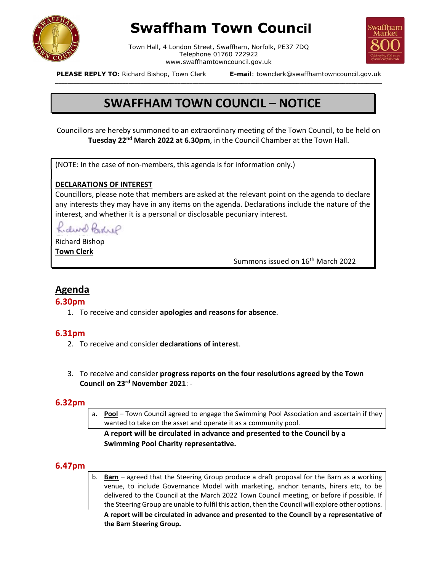

# Swaffham Town Council

Town Hall, 4 London Street, Swaffham, Norfolk, PE37 7DQ Telephone 01760 722922 www.swaffhamtowncouncil.gov.uk<br>p, Town Clerk **E-mail**: townclerk@swaffhamtowncouncil.gov.uk

\_\_\_\_\_\_\_\_\_\_\_\_\_\_\_\_\_\_\_\_\_\_\_\_\_\_\_\_\_\_\_\_\_\_\_\_\_\_\_\_\_\_\_\_\_\_\_\_\_\_\_\_\_\_\_\_\_\_\_\_\_\_\_\_\_\_\_\_\_\_\_\_\_\_\_\_\_\_\_\_\_\_\_\_\_\_\_\_\_\_\_\_\_\_\_\_\_\_\_\_\_\_\_\_\_\_\_



PLEASE REPLY TO: Richard Bishop, Town Clerk

## SWAFFHAM TOWN COUNCIL – NOTICE

Councillors are hereby summoned to an extraordinary meeting of the Town Council, to be held on Tuesday 22<sup>nd</sup> March 2022 at 6.30pm, in the Council Chamber at the Town Hall.

(NOTE: In the case of non-members, this agenda is for information only.)

## DECLARATIONS OF INTEREST

Councillors, please note that members are asked at the relevant point on the agenda to declare any interests they may have in any items on the agenda. Declarations include the nature of the interest, and whether it is a personal or disclosable pecuniary interest.

Kidwel Bohre

Richard Bishop Town Clerk

Summons issued on 16<sup>th</sup> March 2022

## Agenda

## 6.30pm

1. To receive and consider apologies and reasons for absence.

## 6.31pm

- 2. To receive and consider declarations of interest.
- 3. To receive and consider progress reports on the four resolutions agreed by the Town Council on 23rd November 2021: -

## 6.32pm

a. Pool – Town Council agreed to engage the Swimming Pool Association and ascertain if they wanted to take on the asset and operate it as a community pool.

## A report will be circulated in advance and presented to the Council by a Swimming Pool Charity representative.

## 6.47pm

b. Barn – agreed that the Steering Group produce a draft proposal for the Barn as a working venue, to include Governance Model with marketing, anchor tenants, hirers etc, to be delivered to the Council at the March 2022 Town Council meeting, or before if possible. If the Steering Group are unable to fulfil this action, then the Council will explore other options.

A report will be circulated in advance and presented to the Council by a representative of the Barn Steering Group.